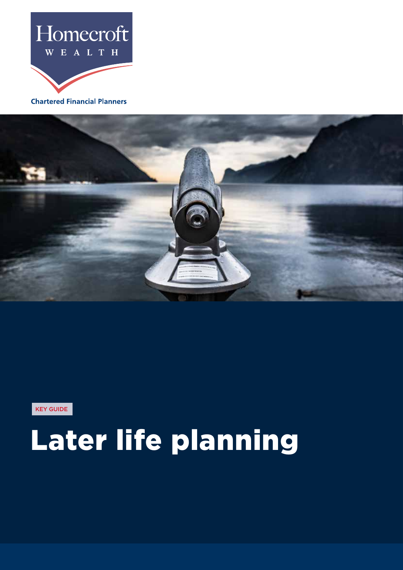

**Chartered Financial Planners** 



KEY GUIDE

# Later life planning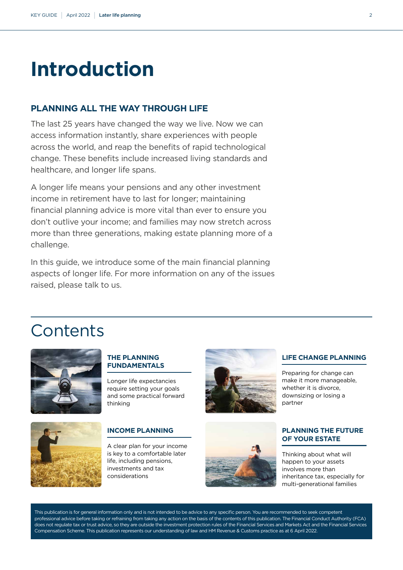# **Introduction**

# **PLANNING ALL THE WAY THROUGH LIFE**

The last 25 years have changed the way we live. Now we can access information instantly, share experiences with people across the world, and reap the benefits of rapid technological change. These benefits include increased living standards and healthcare, and longer life spans.

A longer life means your pensions and any other investment income in retirement have to last for longer; maintaining financial planning advice is more vital than ever to ensure you don't outlive your income; and families may now stretch across more than three generations, making estate planning more of a challenge.

In this guide, we introduce some of the main financial planning aspects of longer life. For more information on any of the issues raised, please talk to us.

# **Contents**



# **THE PLANNING FUNDAMENTALS**

Longer life expectancies require setting your goals and some practical forward thinking

# **INCOME PLANNING**

A clear plan for your income is key to a comfortable later life, including pensions, investments and tax considerations The communication of the communication of the communication of the communication of the communication of the considerations and tax considerations





# **LIFE CHANGE PLANNING**

Preparing for change can make it more manageable, whether it is divorce, downsizing or losing a partner

# **PLANNING THE FUTURE OF YOUR ESTATE**

Thinking about what will happen to your assets involves more than inheritance tax, especially for multi-generational families

This publication is for general information only and is not intended to be advice to any specific person. You are recommended to seek competent professional advice before taking or refraining from taking any action on the basis of the contents of this publication. The Financial Conduct Authority (FCA) does not regulate tax or trust advice, so they are outside the investment protection rules of the Financial Services and Markets Act and the Financial Services Compensation Scheme. This publication represents our understanding of law and HM Revenue & Customs practice as at 6 April 2022.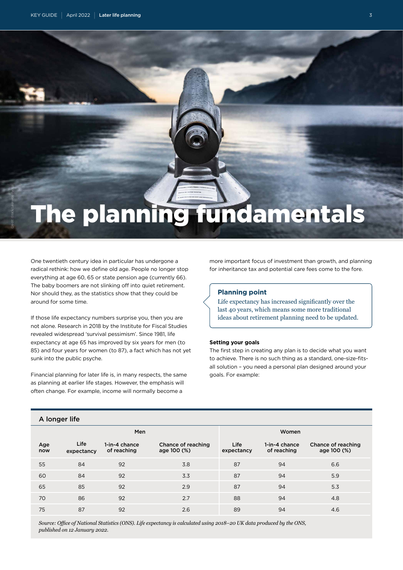# The planning fundamentals

One twentieth century idea in particular has undergone a radical rethink: how we define old age. People no longer stop everything at age 60, 65 or state pension age (currently 66). The baby boomers are not slinking off into quiet retirement. Nor should they, as the statistics show that they could be around for some time.

If those life expectancy numbers surprise you, then you are not alone. Research in 2018 by the Institute for Fiscal Studies revealed widespread 'survival pessimism'. Since 1981, life expectancy at age 65 has improved by six years for men (to 85) and four years for women (to 87), a fact which has not yet sunk into the public psyche.

Financial planning for later life is, in many respects, the same as planning at earlier life stages. However, the emphasis will often change. For example, income will normally become a

more important focus of investment than growth, and planning for inheritance tax and potential care fees come to the fore.

#### **Planning point**

Life expectancy has increased significantly over the last 40 years, which means some more traditional ideas about retirement planning need to be updated.

#### **Setting your goals**

The first step in creating any plan is to decide what you want to achieve. There is no such thing as a standard, one-size-fitsall solution – you need a personal plan designed around your goals. For example:

| 1.1911991119 |                           |                              |                                   |                    |                              |                                   |
|--------------|---------------------------|------------------------------|-----------------------------------|--------------------|------------------------------|-----------------------------------|
| Men          |                           |                              | Women                             |                    |                              |                                   |
| Age          | Life<br>now<br>expectancy | 1-in-4 chance<br>of reaching | Chance of reaching<br>age 100 (%) | Life<br>expectancy | 1-in-4 chance<br>of reaching | Chance of reaching<br>age 100 (%) |
| 55           | 84                        | 92                           | 3.8                               | 87                 | 94                           | 6.6                               |
| 60           | 84                        | 92                           | 3.3                               | 87                 | 94                           | 5.9                               |
| 65           | 85                        | 92                           | 2.9                               | 87                 | 94                           | 5.3                               |
| 70           | 86                        | 92                           | 2.7                               | 88                 | 94                           | 4.8                               |
| 75           | 87                        | 92                           | 2.6                               | 89                 | 94                           | 4.6                               |
|              |                           |                              |                                   |                    |                              |                                   |

*Source: Office of National Statistics (ONS). Life expectancy is calculated using 2018–20 UK data produced by the ONS, published on 12 January 2022.*

# A longer life

Credit: iStock/Leonardo Patrizi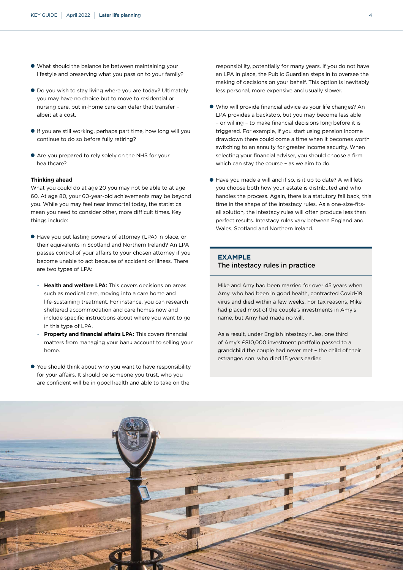- What should the balance be between maintaining your lifestyle and preserving what you pass on to your family?
- Do you wish to stay living where you are today? Ultimately you may have no choice but to move to residential or nursing care, but in-home care can defer that transfer – albeit at a cost.
- If you are still working, perhaps part time, how long will you continue to do so before fully retiring?
- Are you prepared to rely solely on the NHS for your healthcare?

#### **Thinking ahead**

What you could do at age 20 you may not be able to at age 60. At age 80, your 60-year-old achievements may be beyond you. While you may feel near immortal today, the statistics mean you need to consider other, more difficult times. Key things include:

- Have you put lasting powers of attorney (LPA) in place, or their equivalents in Scotland and Northern Ireland? An LPA passes control of your affairs to your chosen attorney if you become unable to act because of accident or illness. There are two types of LPA:
	- **Health and welfare LPA:** This covers decisions on areas such as medical care, moving into a care home and life-sustaining treatment. For instance, you can research sheltered accommodation and care homes now and include specific instructions about where you want to go in this type of LPA.
	- **Property and financial affairs LPA:** This covers financial matters from managing your bank account to selling your home.
- You should think about who you want to have responsibility for your affairs. It should be someone you trust, who you are confident will be in good health and able to take on the

responsibility, potentially for many years. If you do not have an LPA in place, the Public Guardian steps in to oversee the making of decisions on your behalf. This option is inevitably less personal, more expensive and usually slower.

- Who will provide financial advice as your life changes? An LPA provides a backstop, but you may become less able – or willing – to make financial decisions long before it is triggered. For example, if you start using pension income drawdown there could come a time when it becomes worth switching to an annuity for greater income security. When selecting your financial adviser, you should choose a firm which can stay the course – as we aim to do.
- Have you made a will and if so, is it up to date? A will lets you choose both how your estate is distributed and who handles the process. Again, there is a statutory fall back, this time in the shape of the intestacy rules. As a one-size-fitsall solution, the intestacy rules will often produce less than perfect results. Intestacy rules vary between England and Wales, Scotland and Northern Ireland.

# **EXAMPLE** The intestacy rules in practice

Mike and Amy had been married for over 45 years when Amy, who had been in good health, contracted Covid-19 virus and died within a few weeks. For tax reasons, Mike had placed most of the couple's investments in Amy's name, but Amy had made no will.

As a result, under English intestacy rules, one third of Amy's £810,000 investment portfolio passed to a grandchild the couple had never met – the child of their estranged son, who died 15 years earlier.

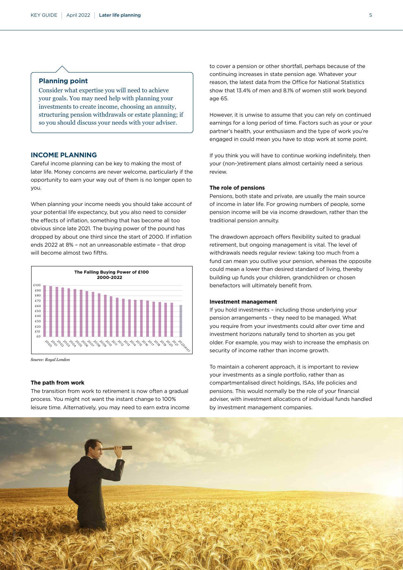#### **Planning point**

Consider what expertise you will need to achieve your goals. You may need help with planning your investments to create income, choosing an annuity, structuring pension withdrawals or estate planning; if so you should discuss your needs with your adviser.

#### **INCOME PLANNING**

Careful income planning can be key to making the most of later life. Money concerns are never welcome, particularly if the opportunity to earn your way out of them is no longer open to you.

When planning your income needs you should take account of your potential life expectancy, but you also need to consider the effects of inflation, something that has become all too obvious since late 2021. The buying power of the pound has dropped by about one third since the start of 2000. If inflation ends 2022 at 8% – not an unreasonable estimate – that drop will become almost two fifths.



*Source: Royal London*

#### **The path from work**

The transition from work to retirement is now often a gradual process. You might not want the instant change to 100% leisure time. Alternatively, you may need to earn extra income to cover a pension or other shortfall, perhaps because of the continuing increases in state pension age. Whatever your reason, the latest data from the Office for National Statistics show that 13.4% of men and 8.1% of women still work beyond age 65.

However, it is unwise to assume that you can rely on continued earnings for a long period of time. Factors such as your or your partner's health, your enthusiasm and the type of work you're engaged in could mean you have to stop work at some point.

If you think you will have to continue working indefinitely, then your (non-)retirement plans almost certainly need a serious review.

#### **The role of pensions**

Pensions, both state and private, are usually the main source of income in later life. For growing numbers of people, some pension income will be via income drawdown, rather than the traditional pension annuity.

The drawdown approach offers flexibility suited to gradual retirement, but ongoing management is vital. The level of withdrawals needs regular review: taking too much from a fund can mean you outlive your pension, whereas the opposite could mean a lower than desired standard of living, thereby building up funds your children, grandchildren or chosen benefactors will ultimately benefit from.

#### **Investment management**

If you hold investments – including those underlying your pension arrangements – they need to be managed. What you require from your investments could alter over time and investment horizons naturally tend to shorten as you get older. For example, you may wish to increase the emphasis on security of income rather than income growth.

To maintain a coherent approach, it is important to review your investments as a single portfolio, rather than as compartmentalised direct holdings, ISAs, life policies and pensions. This would normally be the role of your financial adviser, with investment allocations of individual funds handled by investment management companies.

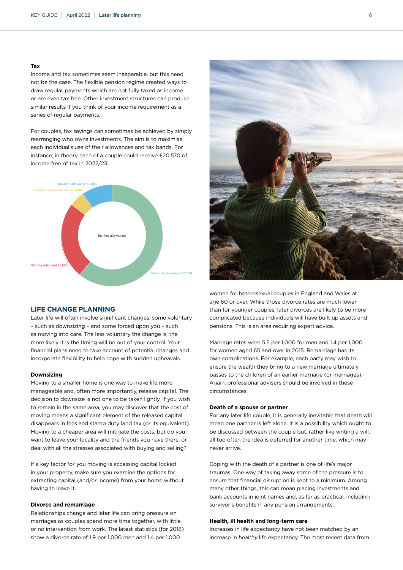#### **Tax**

Income and tax sometimes seem inseparable, but this need not be the case. The flexible pension regime created ways to draw regular payments which are not fully taxed as income or are even tax free. Other investment structures can produce similar results if you think of your income requirement as a series of regular payments.

For couples, tax savings can sometimes be achieved by simply rearranging who owns investments. The aim is to maximise each individual's use of their allowances and tax bands. For instance, in theory each of a couple could receive £20,570 of income free of tax in 2022/23:



#### **LIFE CHANGE PLANNING**

Later life will often involve significant changes, some voluntary – such as downsizing – and some forced upon you – such as moving into care. The less voluntary the change is, the more likely it is the timing will be out of your control. Your financial plans need to take account of potential changes and incorporate flexibility to help cope with sudden upheavals.

#### **Downsizing**

Moving to a smaller home is one way to make life more manageable and, often more importantly, release capital. The decision to downsize is not one to be taken lightly. If you wish to remain in the same area, you may discover that the cost of moving means a significant element of the released capital disappears in fees and stamp duty land tax (or its equivalent). Moving to a cheaper area will mitigate the costs, but do you want to leave your locality and the friends you have there, or deal with all the stresses associated with buying and selling?

If a key factor for you moving is accessing capital locked in your property, make sure you examine the options for extracting capital (and/or income) from your home without having to leave it.

#### **Divorce and remarriage**

Relationships change and later life can bring pressure on marriages as couples spend more time together, with little or no intervention from work. The latest statistics (for 2018) show a divorce rate of 1.9 per 1,000 men and 1.4 per 1,000



women for heterosexual couples in England and Wales at age 60 or over. While those divorce rates are much lower than for younger couples, later divorces are likely to be more complicated because individuals will have built up assets and pensions. This is an area requiring expert advice.

Marriage rates were 5.5 per 1,000 for men and 1.4 per 1,000 for women aged 65 and over in 2015. Remarriage has its own complications. For example, each party may wish to ensure the wealth they bring to a new marriage ultimately passes to the children of an earlier marriage (or marriages). Again, professional advisers should be involved in these circumstances.

#### **Death of a spouse or partner**

For any later life couple, it is generally inevitable that death will mean one partner is left alone. It is a possibility which ought to be discussed between the couple but, rather like writing a will, all too often the idea is deferred for another time, which may never arrive.

Coping with the death of a partner is one of life's major traumas. One way of taking away some of the pressure is to ensure that financial disruption is kept to a minimum. Among many other things, this can mean placing investments and bank accounts in joint names and, as far as practical, including survivor's benefits in any pension arrangements.

#### **Health, ill health and long-term care**

Increases in life expectancy have not been matched by an increase in healthy life expectancy. The most recent data from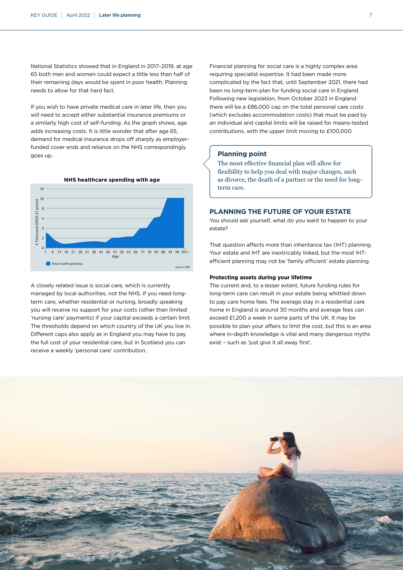National Statistics showed that in England in 2017–2019, at age 65 both men and women could expect a little less than half of their remaining days would be spent in poor health. Planning needs to allow for that hard fact.

If you wish to have private medical care in later life, then you will need to accept either substantial insurance premiums or a similarly high cost of self-funding. As the graph shows, age adds increasing costs. It is little wonder that after age 65, demand for medical insurance drops off sharply as employerfunded cover ends and reliance on the NHS correspondingly goes up.



A closely related issue is social care, which is currently managed by local authorities, not the NHS. If you need longterm care, whether residential or nursing, broadly speaking you will receive no support for your costs (other than limited 'nursing care' payments) if your capital exceeds a certain limit. The thresholds depend on which country of the UK you live in. Different caps also apply as in England you may have to pay the full cost of your residential care, but in Scotland you can receive a weekly 'personal care' contribution.

Financial planning for social care is a highly complex area requiring specialist expertise. It had been made more complicated by the fact that, until September 2021, there had been no long-term plan for funding social care in England. Following new legislation, from October 2023 in England there will be a £86,000 cap on the total personal care costs (which excludes accommodation costs) that must be paid by an individual and capital limits will be raised for means-tested contributions, with the upper limit moving to £100,000.

### **Planning point**

The most effective financial plan will allow for flexibility to help you deal with major changes, such as divorce, the death of a partner or the need for longterm care.

### **PLANNING THE FUTURE OF YOUR ESTATE**

You should ask yourself, what do you want to happen to your estate?

That question affects more than inheritance tax (IHT) planning. Your estate and IHT are inextricably linked, but the most IHTefficient planning may not be 'family efficient' estate planning.

#### **Protecting assets during your lifetime**

The current and, to a lesser extent, future funding rules for long-term care can result in your estate being whittled down to pay care home fees. The average stay in a residential care home in England is around 30 months and average fees can exceed £1,200 a week in some parts of the UK. It may be possible to plan your affairs to limit the cost, but this is an area where in-depth knowledge is vital and many dangerous myths exist - such as 'iust give it all away first'.

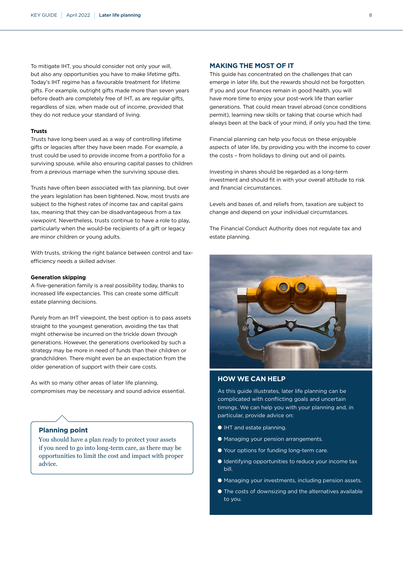To mitigate IHT, you should consider not only your will, but also any opportunities you have to make lifetime gifts. Today's IHT regime has a favourable treatment for lifetime gifts. For example, outright gifts made more than seven years before death are completely free of IHT, as are regular gifts, regardless of size, when made out of income, provided that they do not reduce your standard of living.

#### **Trusts**

Trusts have long been used as a way of controlling lifetime gifts or legacies after they have been made. For example, a trust could be used to provide income from a portfolio for a surviving spouse, while also ensuring capital passes to children from a previous marriage when the surviving spouse dies.

Trusts have often been associated with tax planning, but over the years legislation has been tightened. Now, most trusts are subject to the highest rates of income tax and capital gains tax, meaning that they can be disadvantageous from a tax viewpoint. Nevertheless, trusts continue to have a role to play, particularly when the would-be recipients of a gift or legacy are minor children or young adults.

With trusts, striking the right balance between control and taxefficiency needs a skilled adviser.

#### **Generation skipping**

A five-generation family is a real possibility today, thanks to increased life expectancies. This can create some difficult estate planning decisions.

Purely from an IHT viewpoint, the best option is to pass assets straight to the youngest generation, avoiding the tax that might otherwise be incurred on the trickle down through generations. However, the generations overlooked by such a strategy may be more in need of funds than their children or grandchildren. There might even be an expectation from the older generation of support with their care costs.

As with so many other areas of later life planning, compromises may be necessary and sound advice essential.

## **Planning point**

You should have a plan ready to protect your assets if you need to go into long-term care, as there may be opportunities to limit the cost and impact with proper advice.

#### **MAKING THE MOST OF IT**

This guide has concentrated on the challenges that can emerge in later life, but the rewards should not be forgotten. If you and your finances remain in good health, you will have more time to enjoy your post-work life than earlier generations. That could mean travel abroad (once conditions permit), learning new skills or taking that course which had always been at the back of your mind, if only you had the time.

Financial planning can help you focus on these enjoyable aspects of later life, by providing you with the income to cover the costs – from holidays to dining out and oil paints.

Investing in shares should be regarded as a long-term investment and should fit in with your overall attitude to risk and financial circumstances.

Levels and bases of, and reliefs from, taxation are subject to change and depend on your individual circumstances.

The Financial Conduct Authority does not regulate tax and estate planning.



## **HOW WE CAN HELP**

As this guide illustrates, later life planning can be complicated with conflicting goals and uncertain timings. We can help you with your planning and, in particular, provide advice on:

- IHT and estate planning.
- Managing your pension arrangements.
- Your options for funding long-term care.
- Identifying opportunities to reduce your income tax bill.
- Managing your investments, including pension assets.
- The costs of downsizing and the alternatives available to you.